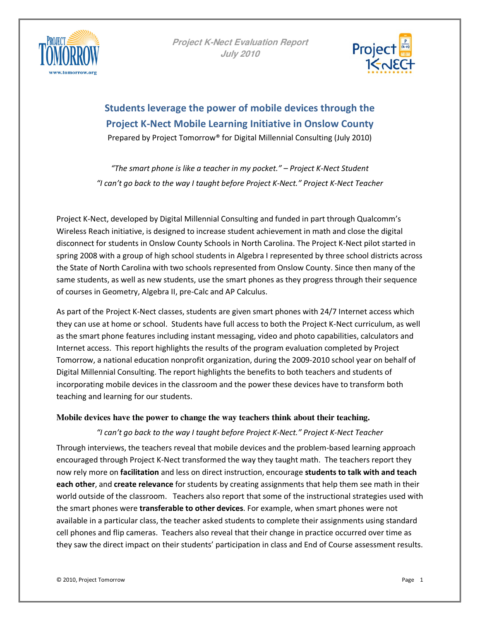



**Students leverage the power of mobile devices through the Project K-Nect Mobile Learning Initiative in Onslow County**  Prepared by Project Tomorrow® for Digital Millennial Consulting (July 2010)

*"The smart phone is like a teacher in my pocket." – Project K-Nect Student "I can't go back to the way I taught before Project K-Nect." Project K-Nect Teacher*

Project K-Nect, developed by Digital Millennial Consulting and funded in part through Qualcomm's Wireless Reach initiative, is designed to increase student achievement in math and close the digital disconnect for students in Onslow County Schools in North Carolina. The Project K-Nect pilot started in spring 2008 with a group of high school students in Algebra I represented by three school districts across the State of North Carolina with two schools represented from Onslow County. Since then many of the same students, as well as new students, use the smart phones as they progress through their sequence of courses in Geometry, Algebra II, pre-Calc and AP Calculus.

As part of the Project K-Nect classes, students are given smart phones with 24/7 Internet access which they can use at home or school. Students have full access to both the Project K-Nect curriculum, as well as the smart phone features including instant messaging, video and photo capabilities, calculators and Internet access. This report highlights the results of the program evaluation completed by Project Tomorrow, a national education nonprofit organization, during the 2009-2010 school year on behalf of Digital Millennial Consulting. The report highlights the benefits to both teachers and students of incorporating mobile devices in the classroom and the power these devices have to transform both teaching and learning for our students.

#### **Mobile devices have the power to change the way teachers think about their teaching.**

*"I can't go back to the way I taught before Project K-Nect." Project K-Nect Teacher* 

Through interviews, the teachers reveal that mobile devices and the problem-based learning approach encouraged through Project K-Nect transformed the way they taught math. The teachers report they now rely more on **facilitation** and less on direct instruction, encourage **students to talk with and teach each other**, and **create relevance** for students by creating assignments that help them see math in their world outside of the classroom. Teachers also report that some of the instructional strategies used with the smart phones were **transferable to other devices**. For example, when smart phones were not available in a particular class, the teacher asked students to complete their assignments using standard cell phones and flip cameras. Teachers also reveal that their change in practice occurred over time as they saw the direct impact on their students' participation in class and End of Course assessment results.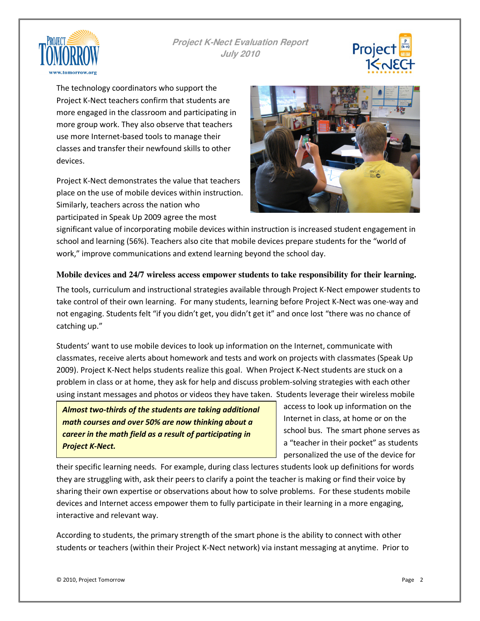



The technology coordinators who support the Project K-Nect teachers confirm that students are more engaged in the classroom and participating in more group work. They also observe that teachers use more Internet-based tools to manage their classes and transfer their newfound skills to other devices.

Project K-Nect demonstrates the value that teachers place on the use of mobile devices within instruction. Similarly, teachers across the nation who participated in Speak Up 2009 agree the most



significant value of incorporating mobile devices within instruction is increased student engagement in school and learning (56%). Teachers also cite that mobile devices prepare students for the "world of work," improve communications and extend learning beyond the school day.

### **Mobile devices and 24/7 wireless access empower students to take responsibility for their learning.**

The tools, curriculum and instructional strategies available through Project K-Nect empower students to take control of their own learning. For many students, learning before Project K-Nect was one-way and not engaging. Students felt "if you didn't get, you didn't get it" and once lost "there was no chance of catching up."

Students' want to use mobile devices to look up information on the Internet, communicate with classmates, receive alerts about homework and tests and work on projects with classmates (Speak Up 2009). Project K-Nect helps students realize this goal. When Project K-Nect students are stuck on a problem in class or at home, they ask for help and discuss problem-solving strategies with each other using instant messages and photos or videos they have taken. Students leverage their wireless mobile

*Almost two-thirds of the students are taking additional math courses and over 50% are now thinking about a career in the math field as a result of participating in Project K-Nect.* 

access to look up information on the Internet in class, at home or on the school bus. The smart phone serves as a "teacher in their pocket" as students personalized the use of the device for

their specific learning needs. For example, during class lectures students look up definitions for words they are struggling with, ask their peers to clarify a point the teacher is making or find their voice by sharing their own expertise or observations about how to solve problems. For these students mobile devices and Internet access empower them to fully participate in their learning in a more engaging, interactive and relevant way.

According to students, the primary strength of the smart phone is the ability to connect with other students or teachers (within their Project K-Nect network) via instant messaging at anytime. Prior to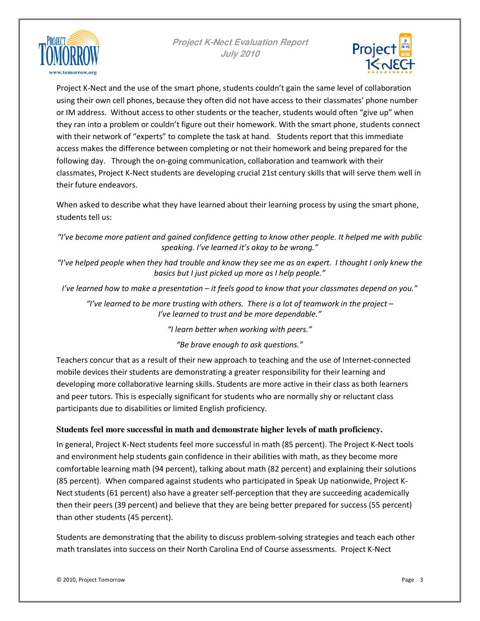



Project K-Nect and the use of the smart phone, students couldn't gain the same level of collaboration using their own cell phones, because they often did not have access to their classmates' phone number or IM address. Without access to other students or the teacher, students would often "give up" when they ran into a problem or couldn't figure out their homework. With the smart phone, students connect with their network of "experts" to complete the task at hand. Students report that this immediate access makes the difference between completing or not their homework and being prepared for the following day. Through the on-going communication, collaboration and teamwork with their classmates, Project K-Nect students are developing crucial 21st century skills that will serve them well in their future endeavors.

When asked to describe what they have learned about their learning process by using the smart phone, students tell us:

*"I've become more patient and gained confidence getting to know other people. It helped me with public speaking. I've learned it's okay to be wrong."* 

*"I've helped people when they had trouble and know they see me as an expert. I thought I only knew the basics but I just picked up more as I help people."*

*I've learned how to make a presentation – it feels good to know that your classmates depend on you."* 

*"I've learned to be more trusting with others. There is a lot of teamwork in the project – I've learned to trust and be more dependable."* 

*"I learn better when working with peers."* 

*"Be brave enough to ask questions."* 

Teachers concur that as a result of their new approach to teaching and the use of Internet-connected mobile devices their students are demonstrating a greater responsibility for their learning and developing more collaborative learning skills. Students are more active in their class as both learners and peer tutors. This is especially significant for students who are normally shy or reluctant class participants due to disabilities or limited English proficiency.

## **Students feel more successful in math and demonstrate higher levels of math proficiency.**

In general, Project K-Nect students feel more successful in math (85 percent). The Project K-Nect tools and environment help students gain confidence in their abilities with math, as they become more comfortable learning math (94 percent), talking about math (82 percent) and explaining their solutions (85 percent). When compared against students who participated in Speak Up nationwide, Project K-Nect students (61 percent) also have a greater self-perception that they are succeeding academically then their peers (39 percent) and believe that they are being better prepared for success (55 percent) than other students (45 percent).

Students are demonstrating that the ability to discuss problem-solving strategies and teach each other math translates into success on their North Carolina End of Course assessments. Project K-Nect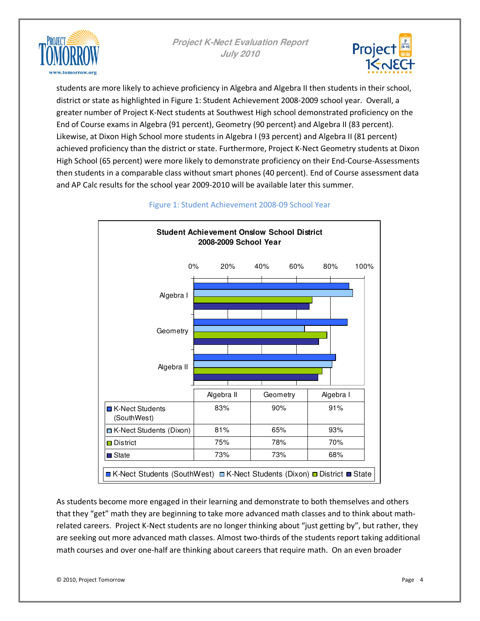



students are more likely to achieve proficiency in Algebra and Algebra II then students in their school, district or state as highlighted in Figure 1: Student Achievement 2008-2009 school year. Overall, a greater number of Project K-Nect students at Southwest High school demonstrated proficiency on the End of Course exams in Algebra (91 percent), Geometry (90 percent) and Algebra II (83 percent). Likewise, at Dixon High School more students in Algebra I (93 percent) and Algebra II (81 percent) achieved proficiency than the district or state. Furthermore, Project K-Nect Geometry students at Dixon High School (65 percent) were more likely to demonstrate proficiency on their End-Course-Assessments then students in a comparable class without smart phones (40 percent). End of Course assessment data and AP Calc results for the school year 2009-2010 will be available later this summer.



## Figure 1: Student Achievement 2008-09 School Year

As students become more engaged in their learning and demonstrate to both themselves and others that they "get" math they are beginning to take more advanced math classes and to think about mathrelated careers. Project K-Nect students are no longer thinking about "just getting by", but rather, they are seeking out more advanced math classes. Almost two-thirds of the students report taking additional math courses and over one-half are thinking about careers that require math. On an even broader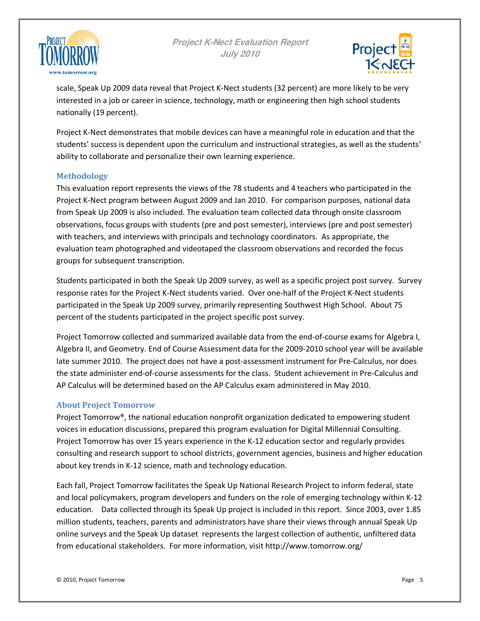



scale, Speak Up 2009 data reveal that Project K-Nect students (32 percent) are more likely to be very interested in a job or career in science, technology, math or engineering then high school students nationally (19 percent).

Project K-Nect demonstrates that mobile devices can have a meaningful role in education and that the students' success is dependent upon the curriculum and instructional strategies, as well as the students' ability to collaborate and personalize their own learning experience.

## **Methodology**

This evaluation report represents the views of the 78 students and 4 teachers who participated in the Project K-Nect program between August 2009 and Jan 2010. For comparison purposes, national data from Speak Up 2009 is also included. The evaluation team collected data through onsite classroom observations, focus groups with students (pre and post semester), interviews (pre and post semester) with teachers, and interviews with principals and technology coordinators. As appropriate, the evaluation team photographed and videotaped the classroom observations and recorded the focus groups for subsequent transcription.

Students participated in both the Speak Up 2009 survey, as well as a specific project post survey. Survey response rates for the Project K-Nect students varied. Over one-half of the Project K-Nect students participated in the Speak Up 2009 survey, primarily representing Southwest High School. About 75 percent of the students participated in the project specific post survey.

Project Tomorrow collected and summarized available data from the end-of-course exams for Algebra I, Algebra II, and Geometry. End of Course Assessment data for the 2009-2010 school year will be available late summer 2010. The project does not have a post-assessment instrument for Pre-Calculus, nor does the state administer end-of-course assessments for the class. Student achievement in Pre-Calculus and AP Calculus will be determined based on the AP Calculus exam administered in May 2010.

#### **About Project Tomorrow**

Project Tomorrow®, the national education nonprofit organization dedicated to empowering student voices in education discussions, prepared this program evaluation for Digital Millennial Consulting. Project Tomorrow has over 15 years experience in the K-12 education sector and regularly provides consulting and research support to school districts, government agencies, business and higher education about key trends in K-12 science, math and technology education.

Each fall, Project Tomorrow facilitates the Speak Up National Research Project to inform federal, state and local policymakers, program developers and funders on the role of emerging technology within K-12 education. Data collected through its Speak Up project is included in this report. Since 2003, over 1.85 million students, teachers, parents and administrators have share their views through annual Speak Up online surveys and the Speak Up dataset represents the largest collection of authentic, unfiltered data from educational stakeholders. For more information, visit http://www.tomorrow.org/